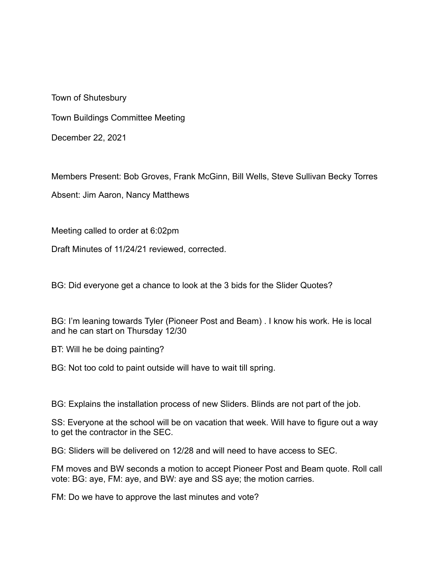Town of Shutesbury

Town Buildings Committee Meeting

December 22, 2021

Members Present: Bob Groves, Frank McGinn, Bill Wells, Steve Sullivan Becky Torres

Absent: Jim Aaron, Nancy Matthews

Meeting called to order at 6:02pm

Draft Minutes of 11/24/21 reviewed, corrected.

BG: Did everyone get a chance to look at the 3 bids for the Slider Quotes?

BG: I'm leaning towards Tyler (Pioneer Post and Beam) . I know his work. He is local and he can start on Thursday 12/30

BT: Will he be doing painting?

BG: Not too cold to paint outside will have to wait till spring.

BG: Explains the installation process of new Sliders. Blinds are not part of the job.

SS: Everyone at the school will be on vacation that week. Will have to figure out a way to get the contractor in the SEC.

BG: Sliders will be delivered on 12/28 and will need to have access to SEC.

FM moves and BW seconds a motion to accept Pioneer Post and Beam quote. Roll call vote: BG: aye, FM: aye, and BW: aye and SS aye; the motion carries.

FM: Do we have to approve the last minutes and vote?